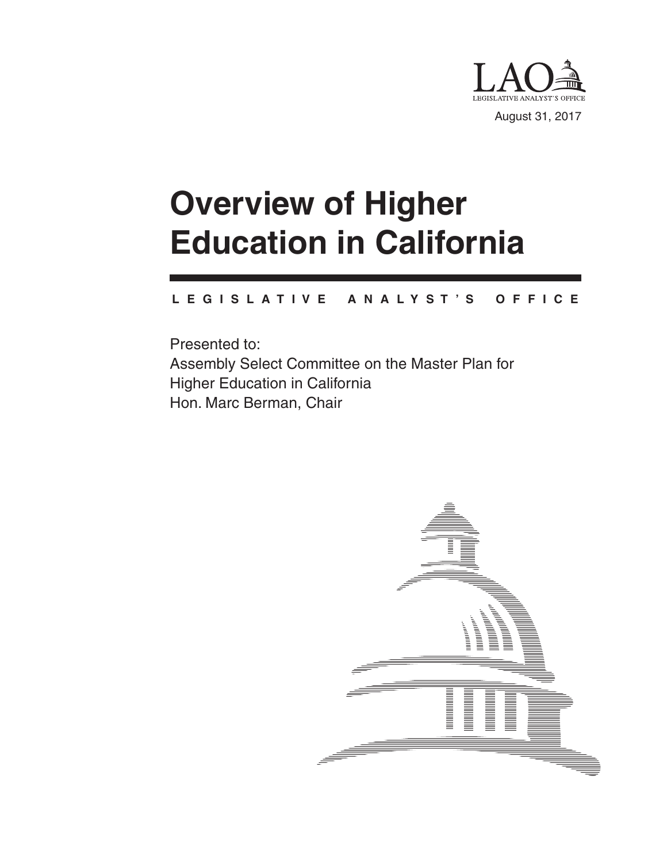

# **Overview of Higher Education in California**

#### **L E G I S L A T I V E A N A L Y S T ' S O F F I C E**

Presented to: Assembly Select Committee on the Master Plan for Higher Education in California Hon. Marc Berman, Chair

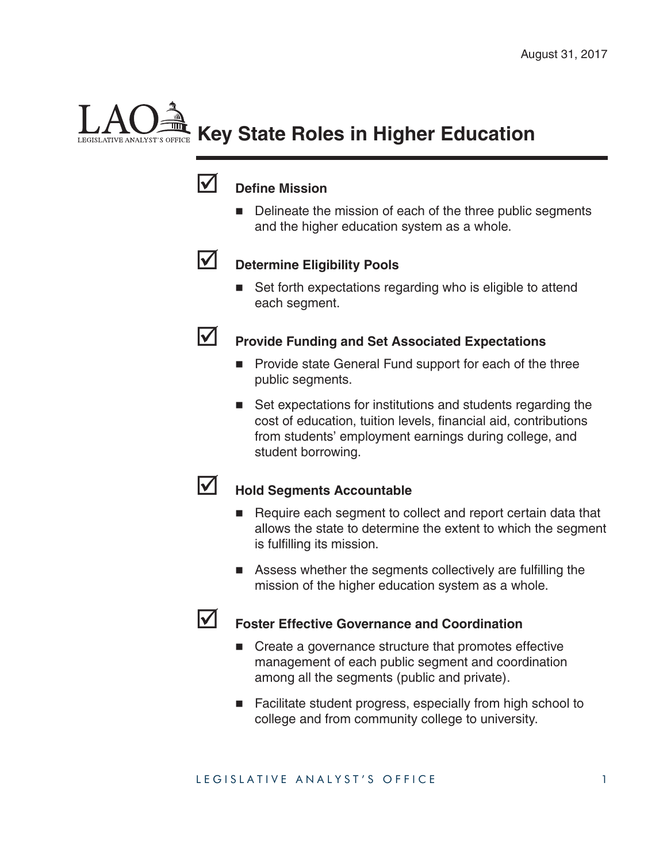# **Key State Roles in Higher Education**



### **V** Define Mission

Delineate the mission of each of the three public segments and the higher education system as a whole.



## **Determine Eligibility Pools**

■ Set forth expectations regarding who is eligible to attend each segment.



## **Provide Funding and Set Associated Expectations**

- **Provide state General Fund support for each of the three** public segments.
- Set expectations for institutions and students regarding the cost of education, tuition levels, financial aid, contributions from students' employment earnings during college, and student borrowing.



## **Hold Segments Accountable**

- Require each segment to collect and report certain data that allows the state to determine the extent to which the segment is fulfilling its mission.
- $\blacksquare$  Assess whether the segments collectively are fulfilling the mission of the higher education system as a whole.



### **Foster Effective Governance and Coordination**

- Create a governance structure that promotes effective management of each public segment and coordination among all the segments (public and private).
- Facilitate student progress, especially from high school to college and from community college to university.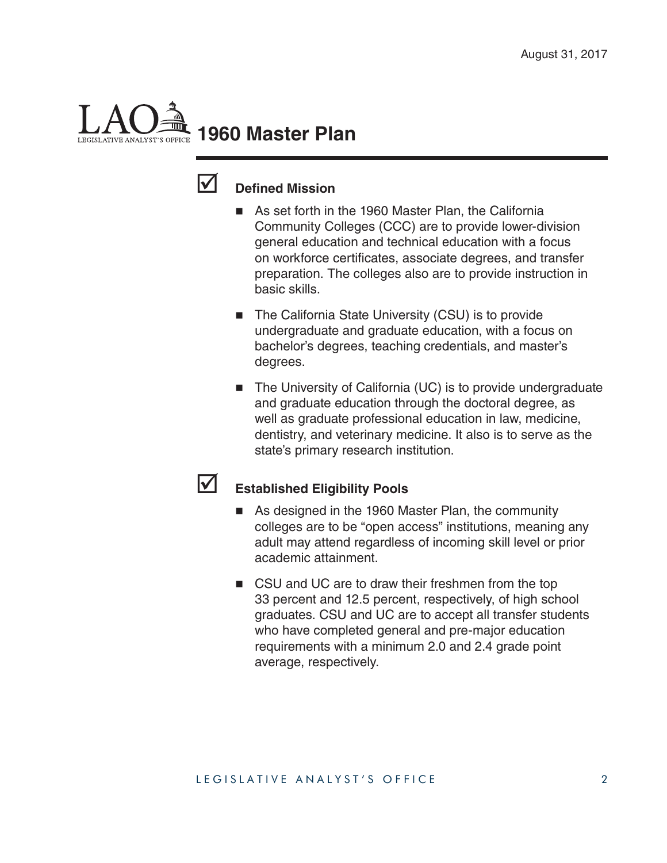# **1960 Master Plan**



### **V** Defined Mission

- As set forth in the 1960 Master Plan, the California Community Colleges (CCC) are to provide lower-division general education and technical education with a focus on workforce certificates, associate degrees, and transfer preparation. The colleges also are to provide instruction in basic skills.
- The California State University (CSU) is to provide undergraduate and graduate education, with a focus on bachelor's degrees, teaching credentials, and master's degrees.
- The University of California (UC) is to provide undergraduate and graduate education through the doctoral degree, as well as graduate professional education in law, medicine, dentistry, and veterinary medicine. It also is to serve as the state's primary research institution.

### **Established Eligibility Pools**

- As designed in the 1960 Master Plan, the community colleges are to be "open access" institutions, meaning any adult may attend regardless of incoming skill level or prior academic attainment.
- CSU and UC are to draw their freshmen from the top 33 percent and 12.5 percent, respectively, of high school graduates. CSU and UC are to accept all transfer students who have completed general and pre-major education requirements with a minimum 2.0 and 2.4 grade point average, respectively.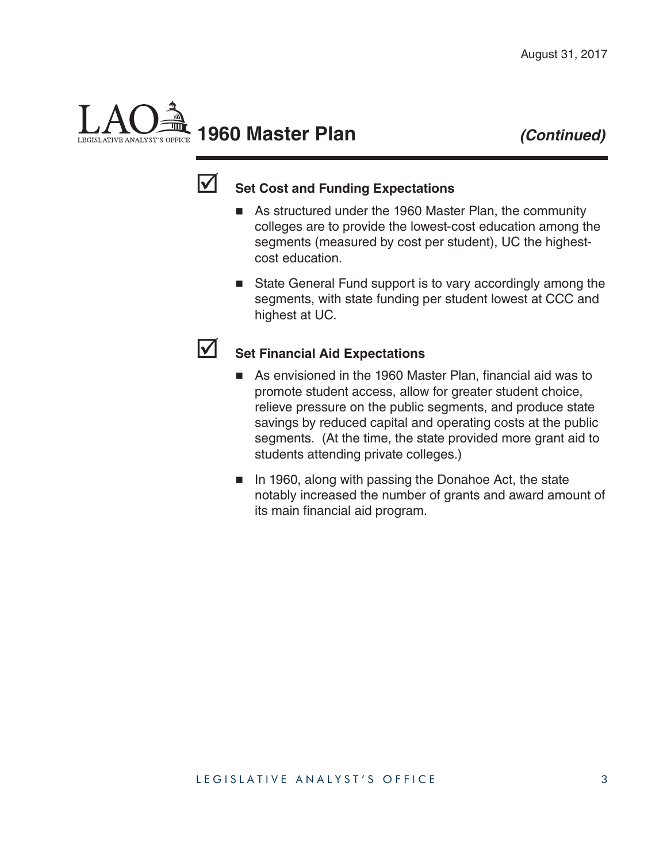# **1960 Master Plan** *(Continued)*



# **Set Cost and Funding Expectations**

- As structured under the 1960 Master Plan, the community colleges are to provide the lowest-cost education among the segments (measured by cost per student), UC the highestcost education.
- State General Fund support is to vary accordingly among the segments, with state funding per student lowest at CCC and highest at UC.

#### **Set Financial Aid Expectations**

- $\blacksquare$  As envisioned in the 1960 Master Plan, financial aid was to promote student access, allow for greater student choice, relieve pressure on the public segments, and produce state savings by reduced capital and operating costs at the public segments. (At the time, the state provided more grant aid to students attending private colleges.)
- In 1960, along with passing the Donahoe Act, the state notably increased the number of grants and award amount of its main financial aid program.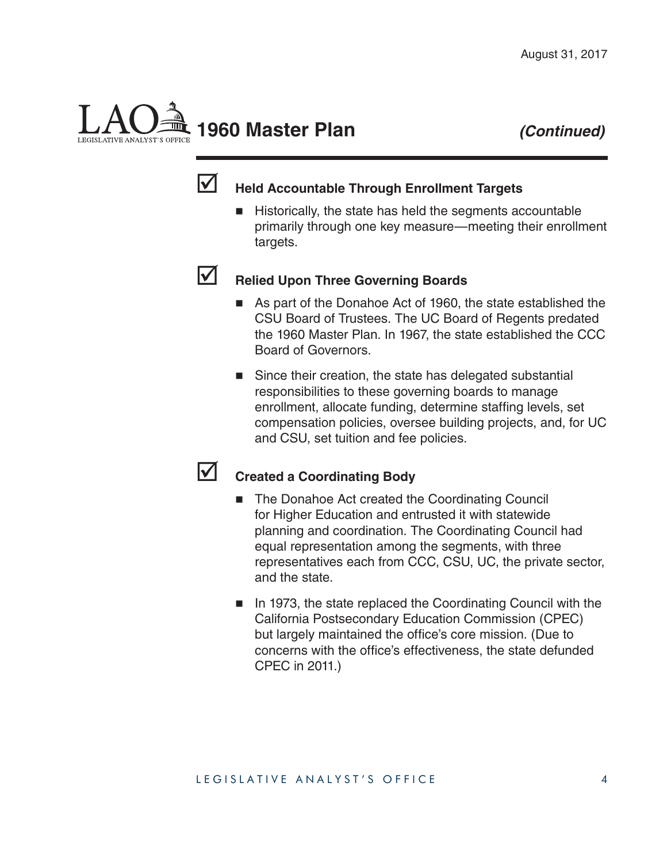# **1960 Master Plan** *(Continued)*

## **Held Accountable Through Enrollment Targets**

■ Historically, the state has held the segments accountable primarily through one key measure—meeting their enrollment targets.



# **Relied Upon Three Governing Boards**

- As part of the Donahoe Act of 1960, the state established the CSU Board of Trustees. The UC Board of Regents predated the 1960 Master Plan. In 1967, the state established the CCC Board of Governors.
- Since their creation, the state has delegated substantial responsibilities to these governing boards to manage enrollment, allocate funding, determine staffing levels, set compensation policies, oversee building projects, and, for UC and CSU, set tuition and fee policies.



### **Z** Created a Coordinating Body

- The Donahoe Act created the Coordinating Council for Higher Education and entrusted it with statewide planning and coordination. The Coordinating Council had equal representation among the segments, with three representatives each from CCC, CSU, UC, the private sector, and the state.
- In 1973, the state replaced the Coordinating Council with the California Postsecondary Education Commission (CPEC) but largely maintained the office's core mission. (Due to concerns with the office's effectiveness, the state defunded CPEC in 2011.)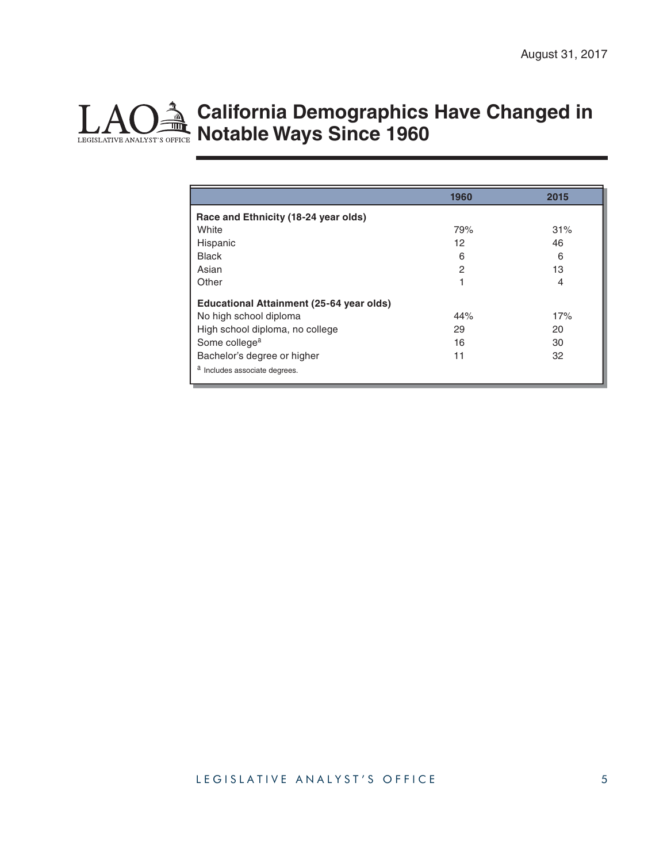# **California Demographics Have Changed in Notable Ways Since 1960**

|                                                 | 1960 | 2015 |
|-------------------------------------------------|------|------|
| Race and Ethnicity (18-24 year olds)            |      |      |
| White                                           | 79%  | 31%  |
| Hispanic                                        | 12   | 46   |
| <b>Black</b>                                    | 6    | 6    |
| Asian                                           | 2    | 13   |
| Other                                           | 1    | 4    |
| <b>Educational Attainment (25-64 year olds)</b> |      |      |
| No high school diploma                          | 44%  | 17%  |
| High school diploma, no college                 | 29   | 20   |
| Some college <sup>a</sup>                       | 16   | 30   |
| Bachelor's degree or higher                     | 11   | 32   |
| a Includes associate degrees.                   |      |      |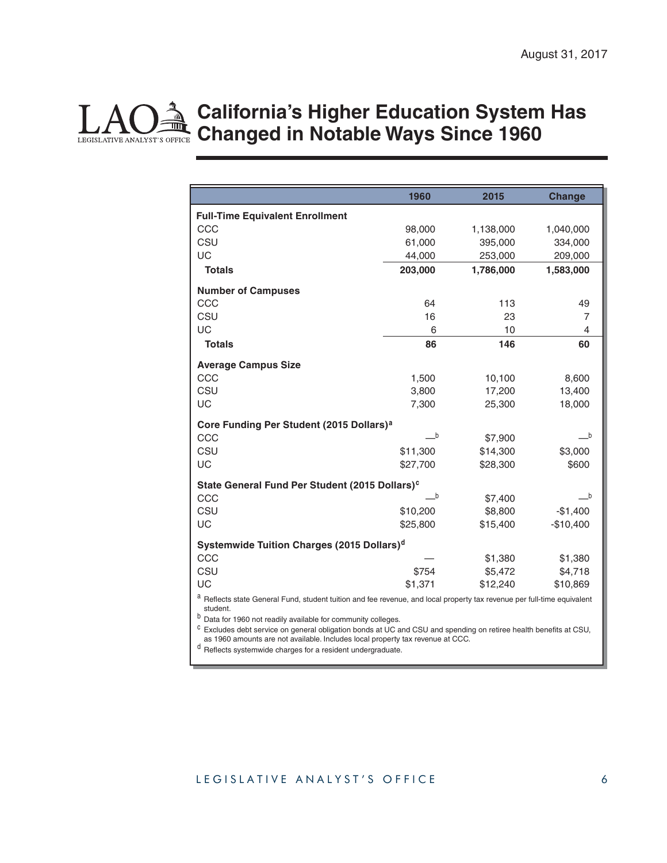#### LEGISLATIVE ANALYST'S OFFICE **California's Higher Education System Has Changed in Notable Ways Since 1960**

|                                                                                                                                             | 1960     | 2015      | <b>Change</b>  |  |
|---------------------------------------------------------------------------------------------------------------------------------------------|----------|-----------|----------------|--|
| <b>Full-Time Equivalent Enrollment</b>                                                                                                      |          |           |                |  |
| CCC                                                                                                                                         | 98,000   | 1,138,000 | 1,040,000      |  |
| CSU                                                                                                                                         | 61,000   | 395,000   | 334,000        |  |
| UC                                                                                                                                          | 44,000   | 253,000   | 209,000        |  |
| <b>Totals</b>                                                                                                                               | 203,000  | 1,786,000 | 1,583,000      |  |
| <b>Number of Campuses</b>                                                                                                                   |          |           |                |  |
| CCC                                                                                                                                         | 64       | 113       | 49             |  |
| CSU                                                                                                                                         | 16       | 23        | 7              |  |
| UC                                                                                                                                          | 6        | 10        | $\overline{4}$ |  |
| <b>Totals</b>                                                                                                                               | 86       | 146       | 60             |  |
| <b>Average Campus Size</b>                                                                                                                  |          |           |                |  |
| CCC                                                                                                                                         | 1,500    | 10,100    | 8,600          |  |
| CSU                                                                                                                                         | 3,800    | 17,200    | 13,400         |  |
| UC                                                                                                                                          | 7,300    | 25,300    | 18,000         |  |
| Core Funding Per Student (2015 Dollars) <sup>a</sup>                                                                                        |          |           |                |  |
| CCC                                                                                                                                         | $\_b$    | \$7,900   | $-b$           |  |
| CSU                                                                                                                                         | \$11,300 | \$14,300  | \$3,000        |  |
| UC                                                                                                                                          | \$27,700 | \$28,300  | \$600          |  |
| State General Fund Per Student (2015 Dollars) <sup>c</sup>                                                                                  |          |           |                |  |
| CCC                                                                                                                                         | $\_b$    | \$7,400   | b              |  |
| CSU                                                                                                                                         | \$10,200 | \$8,800   | $-$1,400$      |  |
| UC                                                                                                                                          | \$25,800 | \$15,400  | $-$10,400$     |  |
| Systemwide Tuition Charges (2015 Dollars) <sup>d</sup>                                                                                      |          |           |                |  |
| CCC                                                                                                                                         |          | \$1,380   | \$1,380        |  |
| CSU                                                                                                                                         | \$754    | \$5,472   | \$4,718        |  |
| UC                                                                                                                                          | \$1,371  | \$12,240  | \$10,869       |  |
| a Reflects state General Fund, student tuition and fee revenue, and local property tax revenue per full-time equivalent<br>student.         |          |           |                |  |
| b<br>Data for 1960 not readily available for community colleges.                                                                            |          |           |                |  |
| С<br>Excludes debt service on general obligation bonds at UC and CSU and spending on retiree health benefits at CSU,                        |          |           |                |  |
| as 1960 amounts are not available. Includes local property tax revenue at CCC.<br>Reflects systemwide charges for a resident undergraduate. |          |           |                |  |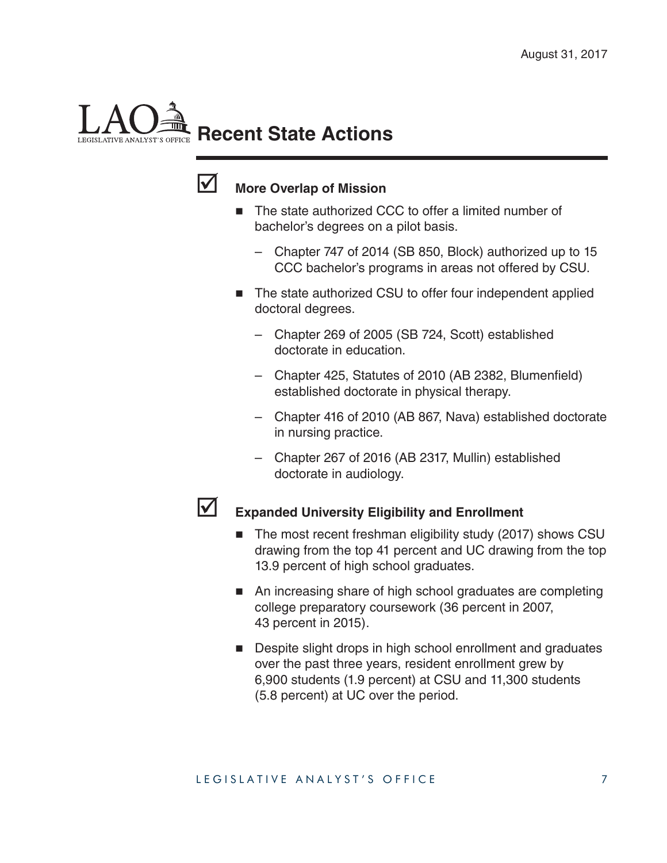# **Recent State Actions**



# **More Overlap of Mission**

- The state authorized CCC to offer a limited number of bachelor's degrees on a pilot basis.
	- Chapter 747 of 2014 (SB 850, Block) authorized up to 15 CCC bachelor's programs in areas not offered by CSU.
- The state authorized CSU to offer four independent applied doctoral degrees.
	- Chapter 269 of 2005 (SB 724, Scott) established doctorate in education.
	- Chapter 425, Statutes of 2010 (AB 2382, Blumenfield) established doctorate in physical therapy.
	- Chapter 416 of 2010 (AB 867, Nava) established doctorate in nursing practice.
	- Chapter 267 of 2016 (AB 2317, Mullin) established doctorate in audiology.



### **Expanded University Eligibility and Enrollment**

- The most recent freshman eligibility study (2017) shows CSU drawing from the top 41 percent and UC drawing from the top 13.9 percent of high school graduates.
- An increasing share of high school graduates are completing college preparatory coursework (36 percent in 2007, 43 percent in 2015).
- Despite slight drops in high school enrollment and graduates over the past three years, resident enrollment grew by 6,900 students (1.9 percent) at CSU and 11,300 students (5.8 percent) at UC over the period.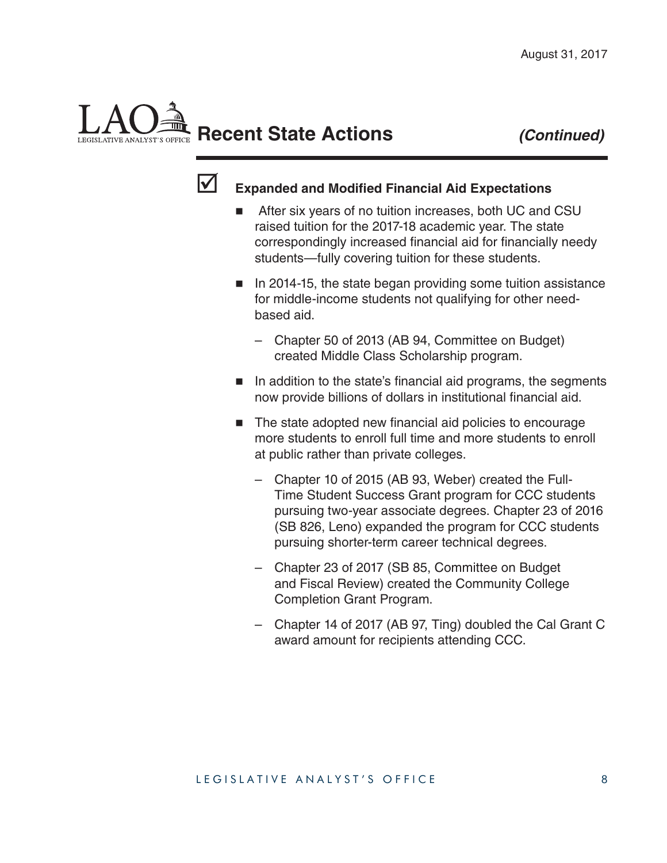# **Recent State Actions** *(Continued)*



## **Expanded and Modified Financial Aid Expectations**

- After six years of no tuition increases, both UC and CSU raised tuition for the 2017-18 academic year. The state correspondingly increased financial aid for financially needy students—fully covering tuition for these students.
- $\blacksquare$  In 2014-15, the state began providing some tuition assistance for middle-income students not qualifying for other needbased aid.
	- Chapter 50 of 2013 (AB 94, Committee on Budget) created Middle Class Scholarship program.
- $\blacksquare$  In addition to the state's financial aid programs, the segments now provide billions of dollars in institutional financial aid.
- $\blacksquare$  The state adopted new financial aid policies to encourage more students to enroll full time and more students to enroll at public rather than private colleges.
	- Chapter 10 of 2015 (AB 93, Weber) created the Full-Time Student Success Grant program for CCC students pursuing two-year associate degrees. Chapter 23 of 2016 (SB 826, Leno) expanded the program for CCC students pursuing shorter-term career technical degrees.
	- Chapter 23 of 2017 (SB 85, Committee on Budget and Fiscal Review) created the Community College Completion Grant Program.
	- Chapter 14 of 2017 (AB 97, Ting) doubled the Cal Grant C award amount for recipients attending CCC.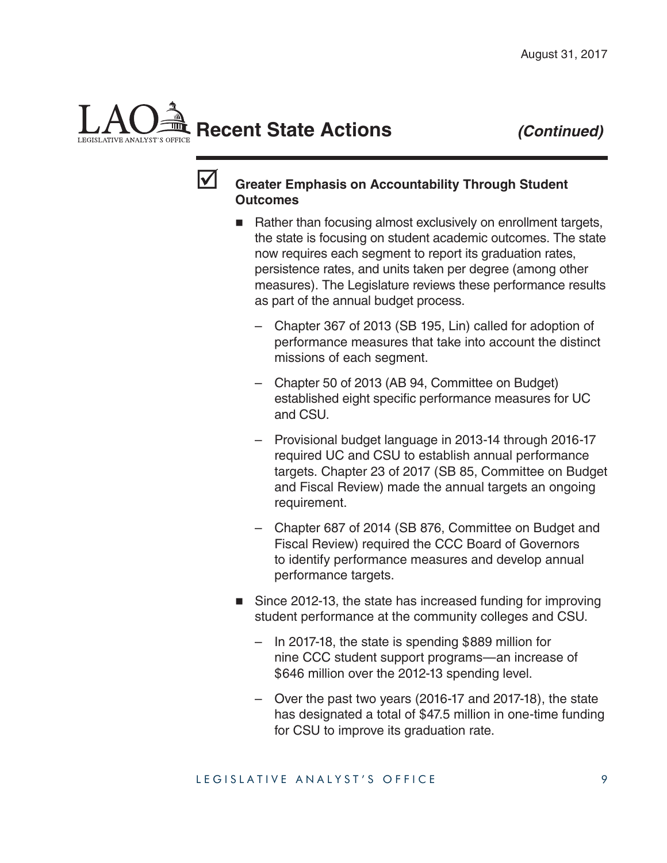# **Recent State Actions** *(Continued)*



### **Solutify Chreater Emphasis on Accountability Through Student Outcomes**

- Rather than focusing almost exclusively on enrollment targets, the state is focusing on student academic outcomes. The state now requires each segment to report its graduation rates, persistence rates, and units taken per degree (among other measures). The Legislature reviews these performance results as part of the annual budget process.
	- Chapter 367 of 2013 (SB 195, Lin) called for adoption of performance measures that take into account the distinct missions of each segment.
	- Chapter 50 of 2013 (AB 94, Committee on Budget) established eight specific performance measures for UC and CSU.
	- Provisional budget language in 2013-14 through 2016-17 required UC and CSU to establish annual performance targets. Chapter 23 of 2017 (SB 85, Committee on Budget and Fiscal Review) made the annual targets an ongoing requirement.
	- Chapter 687 of 2014 (SB 876, Committee on Budget and Fiscal Review) required the CCC Board of Governors to identify performance measures and develop annual performance targets.
- Since 2012-13, the state has increased funding for improving student performance at the community colleges and CSU.
	- In 2017-18, the state is spending \$889 million for nine CCC student support programs—an increase of \$646 million over the 2012-13 spending level.
	- Over the past two years (2016-17 and 2017-18), the state has designated a total of \$47.5 million in one-time funding for CSU to improve its graduation rate.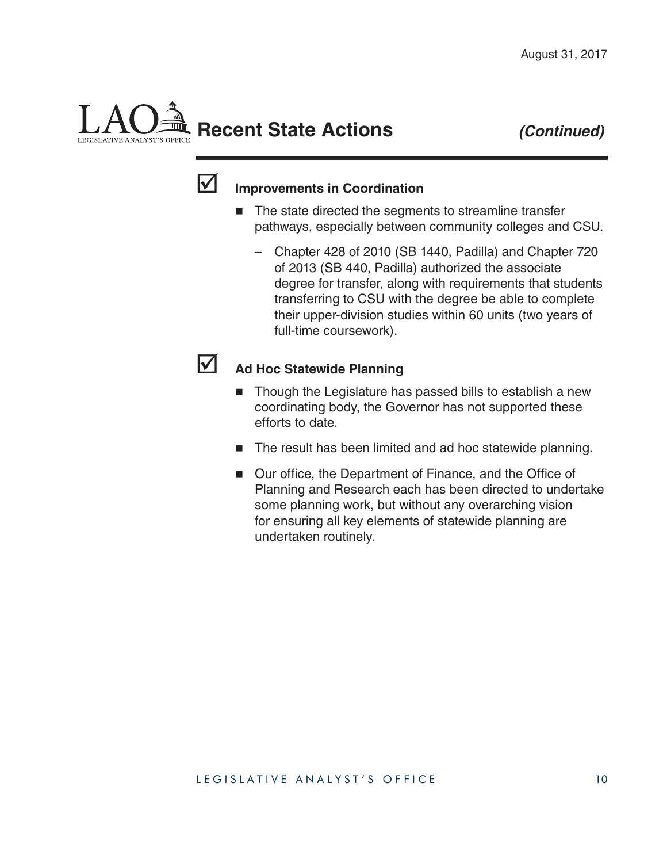# **Recent State Actions** *(Continued)*



# **Improvements in Coordination**

- The state directed the segments to streamline transfer pathways, especially between community colleges and CSU.
	- Chapter 428 of 2010 (SB 1440, Padilla) and Chapter 720 of 2013 (SB 440, Padilla) authorized the associate degree for transfer, along with requirements that students transferring to CSU with the degree be able to complete their upper-division studies within 60 units (two years of full-time coursework).



### Ad Hoc Statewide Planning

- Though the Legislature has passed bills to establish a new coordinating body, the Governor has not supported these efforts to date.
- The result has been limited and ad hoc statewide planning.
- Our office, the Department of Finance, and the Office of Planning and Research each has been directed to undertake some planning work, but without any overarching vision for ensuring all key elements of statewide planning are undertaken routinely.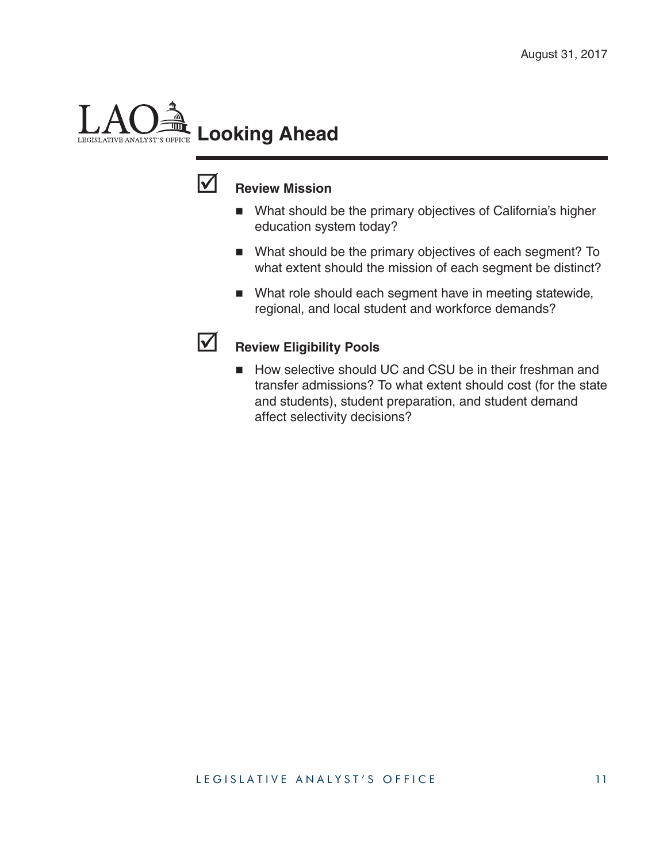# **Looking Ahead**LEGISLATIVE ANALYST'S OFFICE



# **Review Mission**

- What should be the primary objectives of California's higher education system today?
- What should be the primary objectives of each segment? To what extent should the mission of each segment be distinct?
- What role should each segment have in meeting statewide, regional, and local student and workforce demands?



# **Review Eligibility Pools**

How selective should UC and CSU be in their freshman and transfer admissions? To what extent should cost (for the state and students), student preparation, and student demand affect selectivity decisions?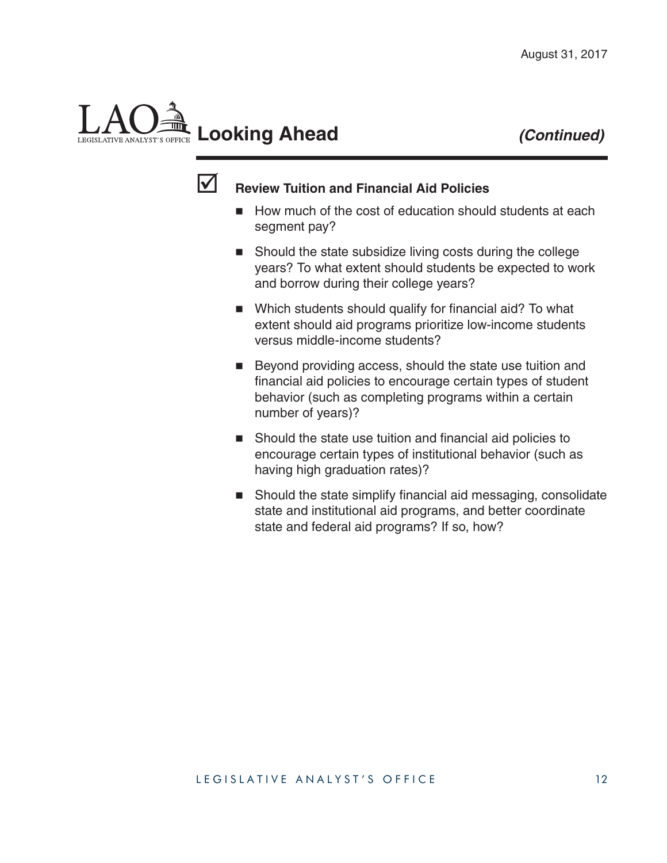



### **Review Tuition and Financial Aid Policies**

- How much of the cost of education should students at each segment pay?
- Should the state subsidize living costs during the college years? To what extent should students be expected to work and borrow during their college years?
- $\blacksquare$  Which students should qualify for financial aid? To what extent should aid programs prioritize low-income students versus middle-income students?
- Beyond providing access, should the state use tuition and financial aid policies to encourage certain types of student behavior (such as completing programs within a certain number of years)?
- $\blacksquare$  Should the state use tuition and financial aid policies to encourage certain types of institutional behavior (such as having high graduation rates)?
- Should the state simplify financial aid messaging, consolidate state and institutional aid programs, and better coordinate state and federal aid programs? If so, how?